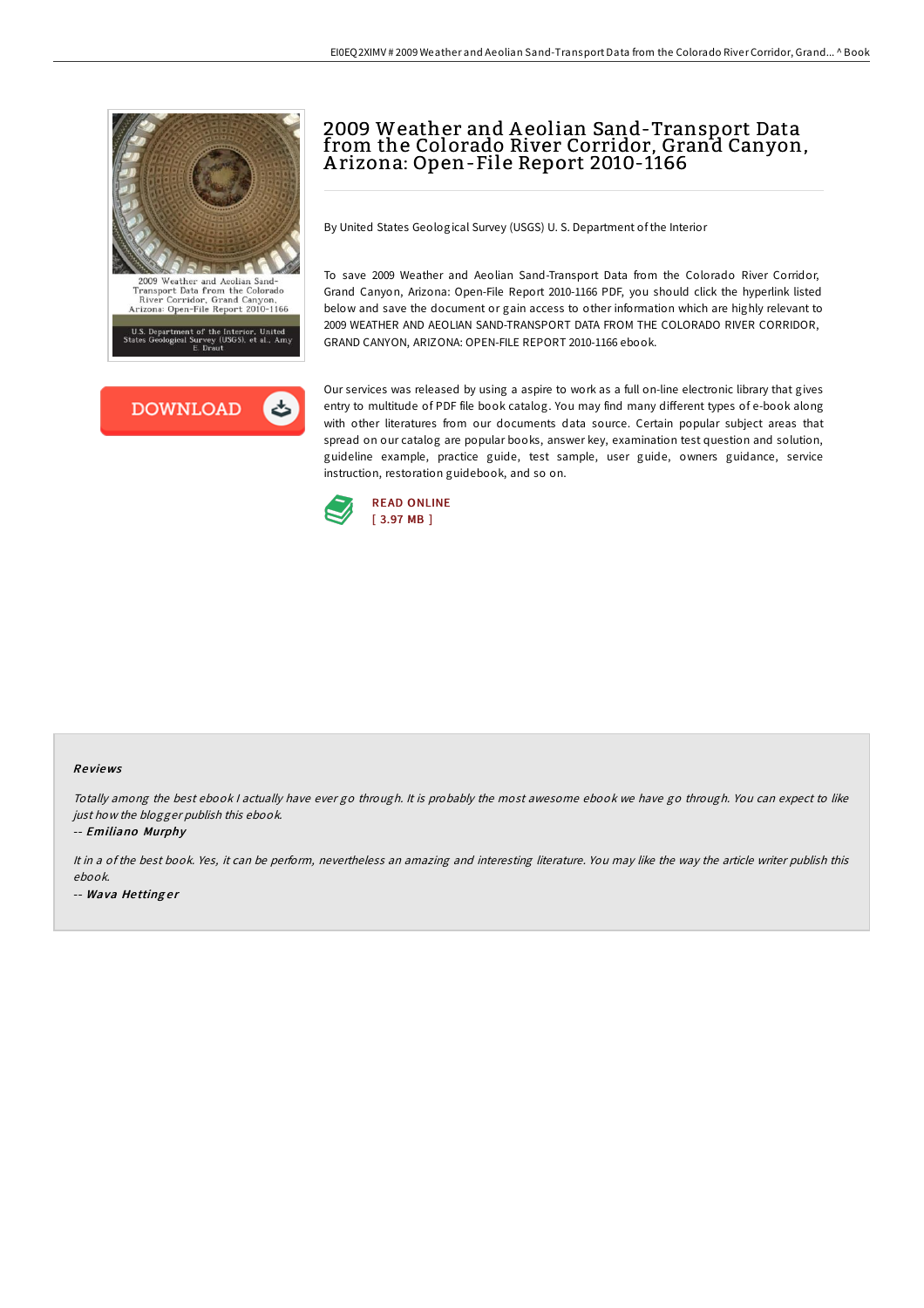



## 2009 Weather and A eolian Sand-Transport Data from the Colorado River Corridor, Grand Canyon, A rizona: Open-File Report 2010-1166

By United States Geological Survey (USGS) U. S. Department of the Interior

To save 2009 Weather and Aeolian Sand-Transport Data from the Colorado River Corridor, Grand Canyon, Arizona: Open-File Report 2010-1166 PDF, you should click the hyperlink listed below and save the document or gain access to other information which are highly relevant to 2009 WEATHER AND AEOLIAN SAND-TRANSPORT DATA FROM THE COLORADO RIVER CORRIDOR, GRAND CANYON, ARIZONA: OPEN-FILE REPORT 2010-1166 ebook.

Our services was released by using a aspire to work as a full on-line electronic library that gives entry to multitude of PDF file book catalog. You may find many different types of e-book along with other literatures from our documents data source. Certain popular subject areas that spread on our catalog are popular books, answer key, examination test question and solution, guideline example, practice guide, test sample, user guide, owners guidance, service instruction, restoration guidebook, and so on.



## Re views

Totally among the best ebook I actually have ever go through. It is probably the most awesome ebook we have go through. You can expect to like just how the blogger publish this ebook.

-- Emiliano Murphy

It in <sup>a</sup> of the best book. Yes, it can be perform, nevertheless an amazing and interesting literature. You may like the way the article writer publish this ebook. -- Wava Hettinger